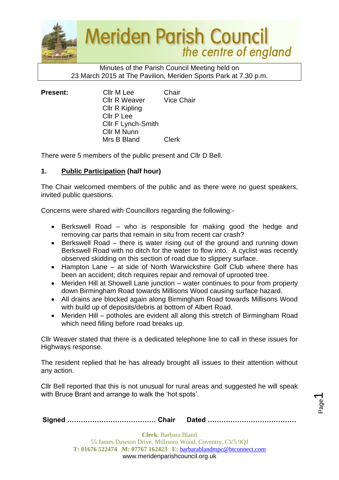

## Minutes of the Parish Council Meeting held on 23 March 2015 at The Pavilion, Meriden Sports Park at 7.30 p.m.

| <b>Present:</b> | Cllr M Lee           | Chair             |
|-----------------|----------------------|-------------------|
|                 | <b>Cllr R Weaver</b> | <b>Vice Chair</b> |
|                 | Cllr R Kipling       |                   |
|                 | Cllr P Lee           |                   |
|                 | Cllr F Lynch-Smith   |                   |
|                 | Cllr M Nunn          |                   |
|                 | Mrs B Bland          | <b>Clerk</b>      |

There were 5 members of the public present and Cllr D Bell.

# **1. Public Participation (half hour)**

The Chair welcomed members of the public and as there were no guest speakers, invited public questions.

Concerns were shared with Councillors regarding the following:-

- Berkswell Road who is responsible for making good the hedge and removing car parts that remain in situ from recent car crash?
- Berkswell Road there is water rising out of the ground and running down Berkswell Road with no ditch for the water to flow into. A cyclist was recently observed skidding on this section of road due to slippery surface.
- Hampton Lane at side of North Warwickshire Golf Club where there has been an accident; ditch requires repair and removal of uprooted tree.
- Meriden Hill at Showell Lane junction water continues to pour from property down Birmingham Road towards Millisons Wood causing surface hazard.
- All drains are blocked again along Birmingham Road towards Millisons Wood with build up of deposits/debris at bottom of Albert Road.
- Meriden Hill potholes are evident all along this stretch of Birmingham Road which need filling before road breaks up.

Cllr Weaver stated that there is a dedicated telephone line to call in these issues for Highways response.

The resident replied that he has already brought all issues to their attention without any action.

Cllr Bell reported that this is not unusual for rural areas and suggested he will speak with Bruce Brant and arrange to walk the 'hot spots'.

|--|--|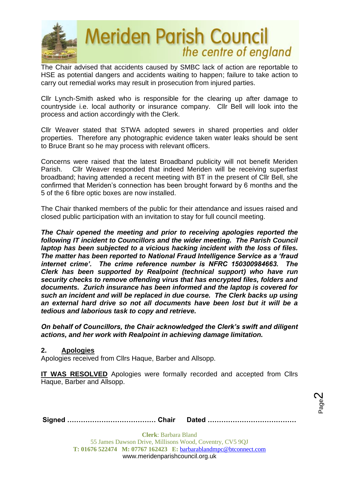

The Chair advised that accidents caused by SMBC lack of action are reportable to HSE as potential dangers and accidents waiting to happen; failure to take action to carry out remedial works may result in prosecution from injured parties.

Cllr Lynch-Smith asked who is responsible for the clearing up after damage to countryside i.e. local authority or insurance company. Cllr Bell will look into the process and action accordingly with the Clerk.

Cllr Weaver stated that STWA adopted sewers in shared properties and older properties. Therefore any photographic evidence taken water leaks should be sent to Bruce Brant so he may process with relevant officers.

Concerns were raised that the latest Broadband publicity will not benefit Meriden Parish. Cllr Weaver responded that indeed Meriden will be receiving superfast broadband; having attended a recent meeting with BT in the present of Cllr Bell, she confirmed that Meriden's connection has been brought forward by 6 months and the 5 of the 6 fibre optic boxes are now installed.

The Chair thanked members of the public for their attendance and issues raised and closed public participation with an invitation to stay for full council meeting.

*The Chair opened the meeting and prior to receiving apologies reported the following IT incident to Councillors and the wider meeting. The Parish Council laptop has been subjected to a vicious hacking incident with the loss of files. The matter has been reported to National Fraud Intelligence Service as a 'fraud internet crime'. The crime reference number is NFRC 150300984663. The Clerk has been supported by Realpoint (technical support) who have run security checks to remove offending virus that has encrypted files, folders and documents. Zurich insurance has been informed and the laptop is covered for such an incident and will be replaced in due course. The Clerk backs up using an external hard drive so not all documents have been lost but it will be a tedious and laborious task to copy and retrieve.* 

*On behalf of Councillors, the Chair acknowledged the Clerk's swift and diligent actions, and her work with Realpoint in achieving damage limitation.*

## **2. Apologies**

Apologies received from Cllrs Haque, Barber and Allsopp.

**IT WAS RESOLVED** Apologies were formally recorded and accepted from Cllrs Haque, Barber and Allsopp.

> Page  $\boldsymbol{\sim}$

**Signed ………………………………… Chair Dated …………………………………**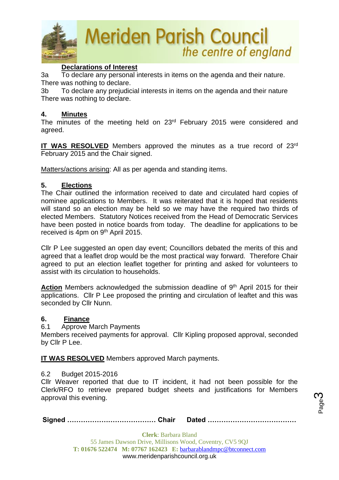

## **Declarations of Interest**

3a To declare any personal interests in items on the agenda and their nature. There was nothing to declare.

3b To declare any prejudicial interests in items on the agenda and their nature There was nothing to declare.

## **4. Minutes**

The minutes of the meeting held on 23<sup>rd</sup> February 2015 were considered and agreed.

IT WAS RESOLVED Members approved the minutes as a true record of 23<sup>rd</sup> February 2015 and the Chair signed.

Matters/actions arising: All as per agenda and standing items.

## **5. Elections**

The Chair outlined the information received to date and circulated hard copies of nominee applications to Members. It was reiterated that it is hoped that residents will stand so an election may be held so we may have the required two thirds of elected Members. Statutory Notices received from the Head of Democratic Services have been posted in notice boards from today. The deadline for applications to be received is 4pm on 9<sup>th</sup> April 2015.

Cllr P Lee suggested an open day event; Councillors debated the merits of this and agreed that a leaflet drop would be the most practical way forward. Therefore Chair agreed to put an election leaflet together for printing and asked for volunteers to assist with its circulation to households.

Action Members acknowledged the submission deadline of 9<sup>th</sup> April 2015 for their applications. Cllr P Lee proposed the printing and circulation of leaftet and this was seconded by Cllr Nunn.

### **6. Finance**

### 6.1 Approve March Payments

Members received payments for approval. Cllr Kipling proposed approval, seconded by Cllr P Lee.

**IT WAS RESOLVED** Members approved March payments.

### 6.2 Budget 2015-2016

Cllr Weaver reported that due to IT incident, it had not been possible for the Clerk/RFO to retrieve prepared budget sheets and justifications for Members approval this evening.

**Signed ………………………………… Chair Dated …………………………………**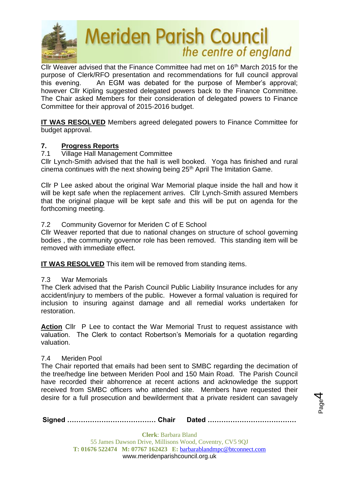

Cllr Weaver advised that the Finance Committee had met on 16<sup>th</sup> March 2015 for the purpose of Clerk/RFO presentation and recommendations for full council approval this evening. An EGM was debated for the purpose of Member's approval; however Cllr Kipling suggested delegated powers back to the Finance Committee. The Chair asked Members for their consideration of delegated powers to Finance Committee for their approval of 2015-2016 budget.

**IT WAS RESOLVED** Members agreed delegated powers to Finance Committee for budget approval.

# **7. Progress Reports**

## 7.1 Village Hall Management Committee

Cllr Lynch-Smith advised that the hall is well booked. Yoga has finished and rural cinema continues with the next showing being 25<sup>th</sup> April The Imitation Game.

Cllr P Lee asked about the original War Memorial plaque inside the hall and how it will be kept safe when the replacement arrives. Cllr Lynch-Smith assured Members that the original plaque will be kept safe and this will be put on agenda for the forthcoming meeting.

# 7.2 Community Governor for Meriden C of E School

Cllr Weaver reported that due to national changes on structure of school governing bodies , the community governor role has been removed. This standing item will be removed with immediate effect.

**IT WAS RESOLVED** This item will be removed from standing items.

## 7.3 War Memorials

The Clerk advised that the Parish Council Public Liability Insurance includes for any accident/injury to members of the public. However a formal valuation is required for inclusion to insuring against damage and all remedial works undertaken for restoration.

**Action** Cllr P Lee to contact the War Memorial Trust to request assistance with valuation. The Clerk to contact Robertson's Memorials for a quotation regarding valuation.

## 7.4 Meriden Pool

The Chair reported that emails had been sent to SMBC regarding the decimation of the tree/hedge line between Meriden Pool and 150 Main Road. The Parish Council have recorded their abhorrence at recent actions and acknowledge the support received from SMBC officers who attended site. Members have requested their desire for a full prosecution and bewilderment that a private resident can savagely

**Signed ………………………………… Chair Dated …………………………………**

Page 4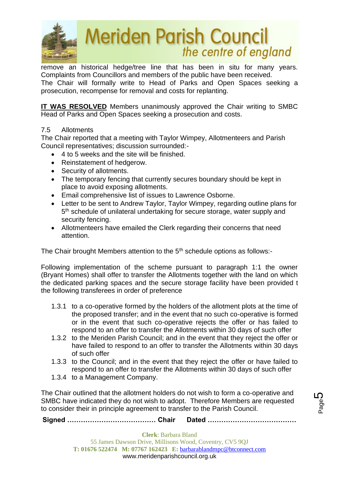

remove an historical hedge/tree line that has been in situ for many years. Complaints from Councillors and members of the public have been received. The Chair will formally write to Head of Parks and Open Spaces seeking a prosecution, recompense for removal and costs for replanting.

**IT WAS RESOLVED** Members unanimously approved the Chair writing to SMBC Head of Parks and Open Spaces seeking a prosecution and costs.

# 7.5 Allotments

The Chair reported that a meeting with Taylor Wimpey, Allotmenteers and Parish Council representatives; discussion surrounded:-

- 4 to 5 weeks and the site will be finished.
- Reinstatement of hedgerow.
- Security of allotments.
- The temporary fencing that currently secures boundary should be kept in place to avoid exposing allotments.
- Email comprehensive list of issues to Lawrence Osborne.
- Letter to be sent to Andrew Taylor, Taylor Wimpey, regarding outline plans for 5<sup>th</sup> schedule of unilateral undertaking for secure storage, water supply and security fencing.
- Allotmenteers have emailed the Clerk regarding their concerns that need attention.

The Chair brought Members attention to the 5<sup>th</sup> schedule options as follows:-

Following implementation of the scheme pursuant to paragraph 1:1 the owner (Bryant Homes) shall offer to transfer the Allotments together with the land on which the dedicated parking spaces and the secure storage facility have been provided t the following transferees in order of preference

- 1.3.1 to a co-operative formed by the holders of the allotment plots at the time of the proposed transfer; and in the event that no such co-operative is formed or in the event that such co-operative rejects the offer or has failed to respond to an offer to transfer the Allotments within 30 days of such offer
- 1.3.2 to the Meriden Parish Council; and in the event that they reject the offer or have failed to respond to an offer to transfer the Allotments within 30 days of such offer
- 1.3.3 to the Council; and in the event that they reject the offer or have failed to respond to an offer to transfer the Allotments within 30 days of such offer
- 1.3.4 to a Management Company.

The Chair outlined that the allotment holders do not wish to form a co-operative and SMBC have indicated they do not wish to adopt. Therefore Members are requested to consider their in principle agreement to transfer to the Parish Council.

**Signed ………………………………… Chair Dated …………………………………**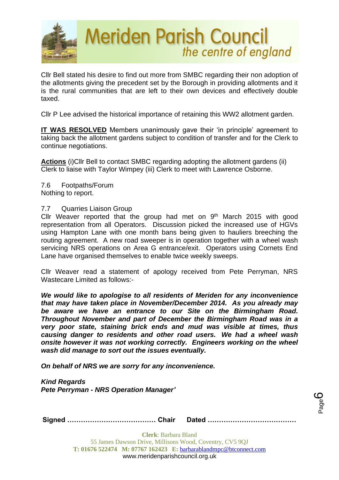

Cllr Bell stated his desire to find out more from SMBC regarding their non adoption of the allotments giving the precedent set by the Borough in providing allotments and it is the rural communities that are left to their own devices and effectively double taxed.

Cllr P Lee advised the historical importance of retaining this WW2 allotment garden.

**IT WAS RESOLVED** Members unanimously gave their 'in principle' agreement to taking back the allotment gardens subject to condition of transfer and for the Clerk to continue negotiations.

**Actions** (i)Cllr Bell to contact SMBC regarding adopting the allotment gardens (ii) Clerk to liaise with Taylor Wimpey (iii) Clerk to meet with Lawrence Osborne.

7.6 Footpaths/Forum Nothing to report.

## 7.7 Quarries Liaison Group

Cllr Weaver reported that the group had met on  $9<sup>th</sup>$  March 2015 with good representation from all Operators. Discussion picked the increased use of HGVs using Hampton Lane with one month bans being given to hauliers breeching the routing agreement. A new road sweeper is in operation together with a wheel wash servicing NRS operations on Area G entrance/exit. Operators using Cornets End Lane have organised themselves to enable twice weekly sweeps.

Cllr Weaver read a statement of apology received from Pete Perryman, NRS Wastecare Limited as follows:-

*We would like to apologise to all residents of Meriden for any inconvenience that may have taken place in November/December 2014. As you already may be aware we have an entrance to our Site on the Birmingham Road. Throughout November and part of December the Birmingham Road was in a very poor state, staining brick ends and mud was visible at times, thus causing danger to residents and other road users. We had a wheel wash onsite however it was not working correctly. Engineers working on the wheel wash did manage to sort out the issues eventually.*

*On behalf of NRS we are sorry for any inconvenience.*

*Kind Regards Pete Perryman - NRS Operation Manager'*

**Signed ………………………………… Chair Dated …………………………………**

Page ပ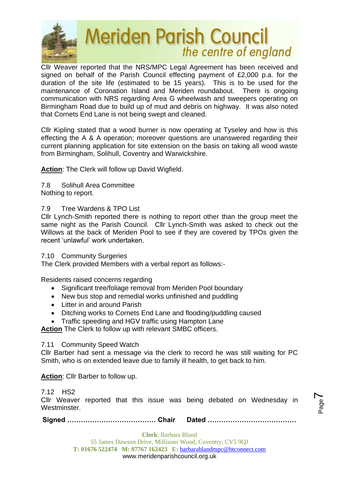

Cllr Weaver reported that the NRS/MPC Legal Agreement has been received and signed on behalf of the Parish Council effecting payment of £2,000 p.a. for the duration of the site life (estimated to be 15 years). This is to be used for the maintenance of Coronation Island and Meriden roundabout. There is ongoing communication with NRS regarding Area G wheelwash and sweepers operating on Birmingham Road due to build up of mud and debris on highway. It was also noted that Cornets End Lane is not being swept and cleaned.

Cllr Kipling stated that a wood burner is now operating at Tyseley and how is this effecting the A & A operation; moreover questions are unanswered regarding their current planning application for site extension on the basis on taking all wood waste from Birmingham, Solihull, Coventry and Warwickshire.

**Action**: The Clerk will follow up David Wigfield.

- 7.8 Solihull Area Committee
- Nothing to report.

# 7.9 Tree Wardens & TPO List

Cllr Lynch-Smith reported there is nothing to report other than the group meet the same night as the Parish Council. Cllr Lynch-Smith was asked to check out the Willows at the back of Meriden Pool to see if they are covered by TPOs given the recent 'unlawful' work undertaken.

# 7.10 Community Surgeries

The Clerk provided Members with a verbal report as follows:-

Residents raised concerns regarding

- Significant tree/foliage removal from Meriden Pool boundary
- New bus stop and remedial works unfinished and puddling
- Litter in and around Parish
- Ditching works to Cornets End Lane and flooding/puddling caused
- Traffic speeding and HGV traffic using Hampton Lane

**Action** The Clerk to follow up with relevant SMBC officers.

# 7.11 Community Speed Watch

Cllr Barber had sent a message via the clerk to record he was still waiting for PC Smith, who is on extended leave due to family ill health, to get back to him.

**Action**: Cllr Barber to follow up.

7.12 HS2

Cllr Weaver reported that this issue was being debated on Wednesday in Westminster.

**Signed ………………………………… Chair Dated …………………………………**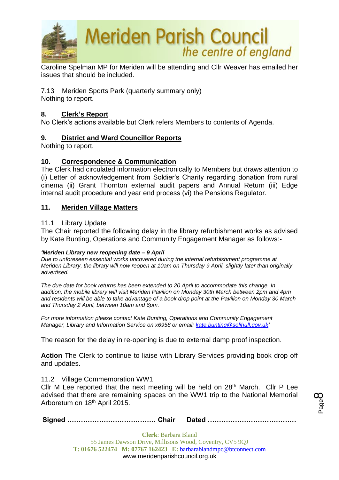

Caroline Spelman MP for Meriden will be attending and Cllr Weaver has emailed her issues that should be included.

7.13Meriden Sports Park (quarterly summary only) Nothing to report.

## **8. Clerk's Report**

No Clerk's actions available but Clerk refers Members to contents of Agenda.

# **9. District and Ward Councillor Reports**

Nothing to report.

## **10. Correspondence & Communication**

The Clerk had circulated information electronically to Members but draws attention to (i) Letter of acknowledgement from Soldier's Charity regarding donation from rural cinema (ii) Grant Thornton external audit papers and Annual Return (iii) Edge internal audit procedure and year end process (vi) the Pensions Regulator.

## **11. Meriden Village Matters**

## 11.1 Library Update

The Chair reported the following delay in the library refurbishment works as advised by Kate Bunting, Operations and Community Engagement Manager as follows:-

### *'Meriden Library new reopening date – 9 April*

*Due to unforeseen essential works uncovered during the internal refurbishment programme at Meriden Library, the library will now reopen at 10am on Thursday 9 April, slightly later than originally advertised.*

*The due date for book returns has been extended to 20 April to accommodate this change. In addition, the mobile library will visit Meriden Pavilion on Monday 30th March between 2pm and 4pm and residents will be able to take advantage of a book drop point at the Pavilion on Monday 30 March and Thursday 2 April, between 10am and 6pm.*

*For more information please contact Kate Bunting, Operations and Community Engagement Manager, Library and Information Service on x6958 or email: [kate.bunting@solihull.gov.uk'](mailto:kate.bunting@solihull.gov.uk)*

The reason for the delay in re-opening is due to external damp proof inspection.

Action The Clerk to continue to liaise with Library Services providing book drop off and updates.

### 11.2 Village Commemoration WW1

Cllr M Lee reported that the next meeting will be held on  $28<sup>th</sup>$  March. Cllr P Lee advised that there are remaining spaces on the WW1 trip to the National Memorial Arboretum on 18th April 2015.

**Signed ………………………………… Chair Dated …………………………………**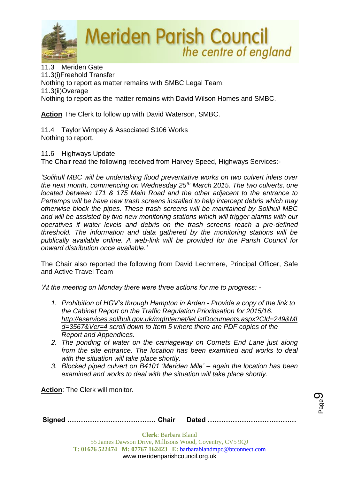

11.3 Meriden Gate 11.3(i)Freehold Transfer Nothing to report as matter remains with SMBC Legal Team. 11.3(ii)Overage Nothing to report as the matter remains with David Wilson Homes and SMBC.

**Action** The Clerk to follow up with David Waterson, SMBC.

11.4 Taylor Wimpey & Associated S106 Works Nothing to report.

11.6 Highways Update

The Chair read the following received from Harvey Speed, Highways Services:-

*'Solihull MBC will be undertaking flood preventative works on two culvert inlets over the next month, commencing on Wednesday 25th March 2015. The two culverts, one located between 171 & 175 Main Road and the other adjacent to the entrance to Pertemps will be have new trash screens installed to help intercept debris which may otherwise block the pipes. These trash screens will be maintained by Solihull MBC and will be assisted by two new monitoring stations which will trigger alarms with our operatives if water levels and debris on the trash screens reach a pre-defined threshold. The information and data gathered by the monitoring stations will be publically available online. A web-link will be provided for the Parish Council for onward distribution once available.'*

The Chair also reported the following from David Lechmere, Principal Officer, Safe and Active Travel Team

*'At the meeting on Monday there were three actions for me to progress: -*

- *1. Prohibition of HGV's through Hampton in Arden - Provide a copy of the link to the Cabinet Report on the Traffic Regulation Prioritisation for 2015/16. [http://eservices.solihull.gov.uk/mgInternet/ieListDocuments.aspx?CId=249&MI](http://eservices.solihull.gov.uk/mgInternet/ieListDocuments.aspx?CId=249&MId=3567&Ver=4) [d=3567&Ver=4](http://eservices.solihull.gov.uk/mgInternet/ieListDocuments.aspx?CId=249&MId=3567&Ver=4) scroll down to Item 5 where there are PDF copies of the Report and Appendices.*
- *2. The ponding of water on the carriageway on Cornets End Lane just along from the site entrance. The location has been examined and works to deal with the situation will take place shortly.*
- *3. Blocked piped culvert on B4101 'Meriden Mile' – again the location has been examined and works to deal with the situation will take place shortly.*

Page ග

**Action**: The Clerk will monitor.

|--|--|--|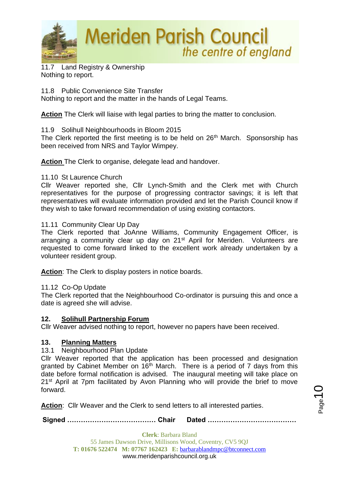

11.7 Land Registry & Ownership Nothing to report.

11.8 Public Convenience Site Transfer Nothing to report and the matter in the hands of Legal Teams.

**Action** The Clerk will liaise with legal parties to bring the matter to conclusion.

11.9 Solihull Neighbourhoods in Bloom 2015

The Clerk reported the first meeting is to be held on 26<sup>th</sup> March. Sponsorship has been received from NRS and Taylor Wimpey.

**Action** The Clerk to organise, delegate lead and handover.

## 11.10 St Laurence Church

Cllr Weaver reported she, Cllr Lynch-Smith and the Clerk met with Church representatives for the purpose of progressing contractor savings; it is left that representatives will evaluate information provided and let the Parish Council know if they wish to take forward recommendation of using existing contactors.

## 11.11 Community Clear Up Day

The Clerk reported that JoAnne Williams, Community Engagement Officer, is arranging a community clear up day on 21<sup>st</sup> April for Meriden. Volunteers are requested to come forward linked to the excellent work already undertaken by a volunteer resident group.

**Action**: The Clerk to display posters in notice boards.

## 11.12 Co-Op Update

The Clerk reported that the Neighbourhood Co-ordinator is pursuing this and once a date is agreed she will advise.

## **12. Solihull Partnership Forum**

Cllr Weaver advised nothing to report, however no papers have been received.

## **13. Planning Matters**

13.1 Neighbourhood Plan Update

Cllr Weaver reported that the application has been processed and designation granted by Cabinet Member on 16<sup>th</sup> March. There is a period of 7 days from this date before formal notification is advised. The inaugural meeting will take place on 21<sup>st</sup> April at 7pm facilitated by Avon Planning who will provide the brief to move forward.

**Action**: Cllr Weaver and the Clerk to send letters to all interested parties.

**Signed ………………………………… Chair Dated …………………………………**